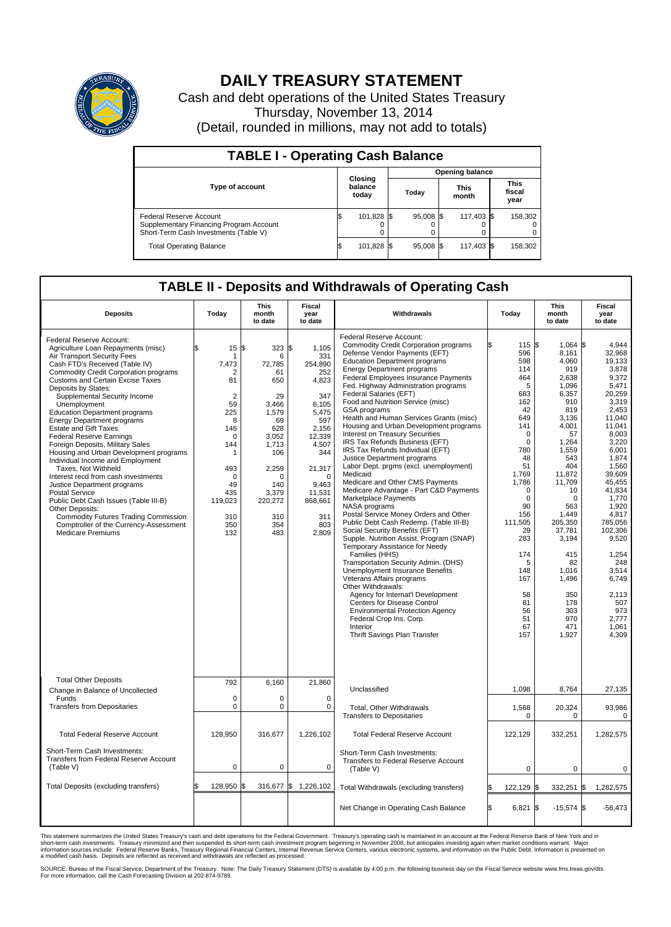

## **DAILY TREASURY STATEMENT**

Cash and debt operations of the United States Treasury Thursday, November 13, 2014 (Detail, rounded in millions, may not add to totals)

| <b>TABLE I - Operating Cash Balance</b>                                                                     |  |                             |       |             |                      |            |  |                               |  |  |  |
|-------------------------------------------------------------------------------------------------------------|--|-----------------------------|-------|-------------|----------------------|------------|--|-------------------------------|--|--|--|
| <b>Opening balance</b>                                                                                      |  |                             |       |             |                      |            |  |                               |  |  |  |
| <b>Type of account</b>                                                                                      |  | Closing<br>balance<br>today | Todav |             | <b>This</b><br>month |            |  | <b>This</b><br>fiscal<br>year |  |  |  |
| Federal Reserve Account<br>Supplementary Financing Program Account<br>Short-Term Cash Investments (Table V) |  | 101,828 \$                  |       | $95.008$ \$ |                      | 117.403 \$ |  | 158,302                       |  |  |  |
| <b>Total Operating Balance</b>                                                                              |  | 101,828 \$                  |       | 95,008 \$   |                      | 117,403 \$ |  | 158,302                       |  |  |  |

## **TABLE II - Deposits and Withdrawals of Operating Cash**

| <b>Deposits</b>                                                                                                                                                                                                                                                                                                                                                                                                                                                                                                                                                                                                                                                                                                                                                                                                                                                            | Today                                                                                                                                                                 | This<br>month<br>to date                                                                                                                                          | Fiscal<br>year<br>to date                                                                                                                                                                    | Withdrawals                                                                                                                                                                                                                                                                                                                                                                                                                                                                                                                                                                                                                                                                                                                                                                                                                                                                                                                                                                                                                                                                                                                                                                                                                                                                                                          |    | Today                                                                                                                                                                                                                                                                          | <b>This</b><br>month<br>to date                                                                                                                                                                                                                                                                     |     | Fiscal<br>year<br>to date                                                                                                                                                                                                                                                                                                     |
|----------------------------------------------------------------------------------------------------------------------------------------------------------------------------------------------------------------------------------------------------------------------------------------------------------------------------------------------------------------------------------------------------------------------------------------------------------------------------------------------------------------------------------------------------------------------------------------------------------------------------------------------------------------------------------------------------------------------------------------------------------------------------------------------------------------------------------------------------------------------------|-----------------------------------------------------------------------------------------------------------------------------------------------------------------------|-------------------------------------------------------------------------------------------------------------------------------------------------------------------|----------------------------------------------------------------------------------------------------------------------------------------------------------------------------------------------|----------------------------------------------------------------------------------------------------------------------------------------------------------------------------------------------------------------------------------------------------------------------------------------------------------------------------------------------------------------------------------------------------------------------------------------------------------------------------------------------------------------------------------------------------------------------------------------------------------------------------------------------------------------------------------------------------------------------------------------------------------------------------------------------------------------------------------------------------------------------------------------------------------------------------------------------------------------------------------------------------------------------------------------------------------------------------------------------------------------------------------------------------------------------------------------------------------------------------------------------------------------------------------------------------------------------|----|--------------------------------------------------------------------------------------------------------------------------------------------------------------------------------------------------------------------------------------------------------------------------------|-----------------------------------------------------------------------------------------------------------------------------------------------------------------------------------------------------------------------------------------------------------------------------------------------------|-----|-------------------------------------------------------------------------------------------------------------------------------------------------------------------------------------------------------------------------------------------------------------------------------------------------------------------------------|
| Federal Reserve Account:<br>Agriculture Loan Repayments (misc)<br>Air Transport Security Fees<br>Cash FTD's Received (Table IV)<br><b>Commodity Credit Corporation programs</b><br><b>Customs and Certain Excise Taxes</b><br>Deposits by States:<br>Supplemental Security Income<br>Unemployment<br><b>Education Department programs</b><br><b>Energy Department programs</b><br><b>Estate and Gift Taxes</b><br><b>Federal Reserve Earnings</b><br>Foreign Deposits, Military Sales<br>Housing and Urban Development programs<br>Individual Income and Employment<br>Taxes. Not Withheld<br>Interest recd from cash investments<br>Justice Department programs<br><b>Postal Service</b><br>Public Debt Cash Issues (Table III-B)<br>Other Deposits:<br><b>Commodity Futures Trading Commission</b><br>Comptroller of the Currency-Assessment<br><b>Medicare Premiums</b> | \$<br>15<br>-1<br>7,473<br>2<br>81<br>$\overline{2}$<br>59<br>225<br>8<br>146<br>$\Omega$<br>144<br>1<br>493<br>$\Omega$<br>49<br>435<br>119,023<br>310<br>350<br>132 | S.<br>323<br>6<br>72,785<br>61<br>650<br>29<br>3.466<br>1,579<br>69<br>628<br>3,052<br>1,713<br>106<br>2,259<br>O<br>140<br>3,379<br>220,272<br>310<br>354<br>483 | l\$<br>1,105<br>331<br>254,890<br>252<br>4,823<br>347<br>6.105<br>5,475<br>597<br>2,156<br>12,339<br>4,507<br>344<br>21,317<br>$\Omega$<br>9,463<br>11,531<br>868,661<br>311<br>803<br>2,809 | Federal Reserve Account:<br><b>Commodity Credit Corporation programs</b><br>Defense Vendor Payments (EFT)<br><b>Education Department programs</b><br><b>Energy Department programs</b><br><b>Federal Employees Insurance Payments</b><br>Fed. Highway Administration programs<br>Federal Salaries (EFT)<br>Food and Nutrition Service (misc)<br>GSA programs<br>Health and Human Services Grants (misc)<br>Housing and Urban Development programs<br>Interest on Treasury Securities<br>IRS Tax Refunds Business (EFT)<br>IRS Tax Refunds Individual (EFT)<br>Justice Department programs<br>Labor Dept. prgms (excl. unemployment)<br>Medicaid<br>Medicare and Other CMS Payments<br>Medicare Advantage - Part C&D Payments<br>Marketplace Payments<br>NASA programs<br>Postal Service Money Orders and Other<br>Public Debt Cash Redemp. (Table III-B)<br>Social Security Benefits (EFT)<br>Supple. Nutrition Assist. Program (SNAP)<br>Temporary Assistance for Needy<br>Families (HHS)<br>Transportation Security Admin. (DHS)<br>Unemployment Insurance Benefits<br>Veterans Affairs programs<br>Other Withdrawals:<br>Agency for Internat'l Development<br><b>Centers for Disease Control</b><br><b>Environmental Protection Agency</b><br>Federal Crop Ins. Corp.<br>Interior<br>Thrift Savings Plan Transfer |    | 115 \$<br>596<br>598<br>114<br>464<br>5<br>683<br>162<br>42<br>649<br>141<br>$\mathbf 0$<br>$\mathbf 0$<br>780<br>48<br>51<br>1,769<br>1,786<br>$\mathbf 0$<br>$\mathbf 0$<br>90<br>156<br>111,505<br>29<br>283<br>174<br>5<br>148<br>167<br>58<br>81<br>56<br>51<br>67<br>157 | $1,064$ \$<br>8.161<br>4.060<br>919<br>2,638<br>1,096<br>6,357<br>910<br>819<br>3,136<br>4,001<br>57<br>1,264<br>1,559<br>543<br>404<br>11,872<br>11.709<br>10<br>$\Omega$<br>563<br>1,449<br>205,350<br>37,781<br>3,194<br>415<br>82<br>1,016<br>1,496<br>350<br>178<br>303<br>970<br>471<br>1,927 |     | 4,944<br>32,968<br>19.133<br>3,878<br>9,372<br>5,471<br>20.259<br>3,319<br>2,453<br>11,040<br>11,041<br>8,003<br>3,220<br>6.001<br>1,874<br>1,560<br>39.609<br>45.455<br>41,834<br>1,770<br>1.920<br>4,817<br>785.056<br>102,306<br>9,520<br>1,254<br>248<br>3,514<br>6.749<br>2.113<br>507<br>973<br>2,777<br>1,061<br>4.309 |
| <b>Total Other Deposits</b><br>Change in Balance of Uncollected                                                                                                                                                                                                                                                                                                                                                                                                                                                                                                                                                                                                                                                                                                                                                                                                            | 792                                                                                                                                                                   | 6,160                                                                                                                                                             | 21,860                                                                                                                                                                                       | Unclassified                                                                                                                                                                                                                                                                                                                                                                                                                                                                                                                                                                                                                                                                                                                                                                                                                                                                                                                                                                                                                                                                                                                                                                                                                                                                                                         |    | 1,098                                                                                                                                                                                                                                                                          | 8,764                                                                                                                                                                                                                                                                                               |     | 27,135                                                                                                                                                                                                                                                                                                                        |
| Funds<br><b>Transfers from Depositaries</b>                                                                                                                                                                                                                                                                                                                                                                                                                                                                                                                                                                                                                                                                                                                                                                                                                                | $\mathbf 0$<br>0                                                                                                                                                      | $\Omega$<br>0                                                                                                                                                     | $\mathbf 0$<br>0                                                                                                                                                                             | Total, Other Withdrawals<br><b>Transfers to Depositaries</b>                                                                                                                                                                                                                                                                                                                                                                                                                                                                                                                                                                                                                                                                                                                                                                                                                                                                                                                                                                                                                                                                                                                                                                                                                                                         |    | 1,568<br>$\mathbf 0$                                                                                                                                                                                                                                                           | 20,324<br>0                                                                                                                                                                                                                                                                                         |     | 93,986<br>$\mathbf 0$                                                                                                                                                                                                                                                                                                         |
| <b>Total Federal Reserve Account</b>                                                                                                                                                                                                                                                                                                                                                                                                                                                                                                                                                                                                                                                                                                                                                                                                                                       | 128,950                                                                                                                                                               | 316,677                                                                                                                                                           | 1,226,102                                                                                                                                                                                    | <b>Total Federal Reserve Account</b>                                                                                                                                                                                                                                                                                                                                                                                                                                                                                                                                                                                                                                                                                                                                                                                                                                                                                                                                                                                                                                                                                                                                                                                                                                                                                 |    | 122,129                                                                                                                                                                                                                                                                        | 332,251                                                                                                                                                                                                                                                                                             |     | 1,282,575                                                                                                                                                                                                                                                                                                                     |
| Short-Term Cash Investments:<br>Transfers from Federal Reserve Account<br>(Table V)                                                                                                                                                                                                                                                                                                                                                                                                                                                                                                                                                                                                                                                                                                                                                                                        | $\pmb{0}$                                                                                                                                                             | 0                                                                                                                                                                 | $\mathbf 0$                                                                                                                                                                                  | Short-Term Cash Investments:<br>Transfers to Federal Reserve Account<br>(Table V)                                                                                                                                                                                                                                                                                                                                                                                                                                                                                                                                                                                                                                                                                                                                                                                                                                                                                                                                                                                                                                                                                                                                                                                                                                    |    | $\mathbf 0$                                                                                                                                                                                                                                                                    | $\mathbf 0$                                                                                                                                                                                                                                                                                         |     | 0                                                                                                                                                                                                                                                                                                                             |
| Total Deposits (excluding transfers)                                                                                                                                                                                                                                                                                                                                                                                                                                                                                                                                                                                                                                                                                                                                                                                                                                       | \$<br>128,950                                                                                                                                                         | ß.                                                                                                                                                                | 316,677 \$ 1,226,102                                                                                                                                                                         | Total Withdrawals (excluding transfers)                                                                                                                                                                                                                                                                                                                                                                                                                                                                                                                                                                                                                                                                                                                                                                                                                                                                                                                                                                                                                                                                                                                                                                                                                                                                              |    | 122,129 \$                                                                                                                                                                                                                                                                     | 332,251                                                                                                                                                                                                                                                                                             | l\$ | 1,282,575                                                                                                                                                                                                                                                                                                                     |
|                                                                                                                                                                                                                                                                                                                                                                                                                                                                                                                                                                                                                                                                                                                                                                                                                                                                            |                                                                                                                                                                       |                                                                                                                                                                   |                                                                                                                                                                                              | Net Change in Operating Cash Balance                                                                                                                                                                                                                                                                                                                                                                                                                                                                                                                                                                                                                                                                                                                                                                                                                                                                                                                                                                                                                                                                                                                                                                                                                                                                                 | Ŝ. | $6,821$ \$                                                                                                                                                                                                                                                                     | $-15,574$ \$                                                                                                                                                                                                                                                                                        |     | $-56,473$                                                                                                                                                                                                                                                                                                                     |

This statement summarizes the United States Treasury's cash and debt operations for the Federal Government. Treasury's operating cash is maintained in an account at the Federal Reserve Bank of New York and in<br>short-term ca

SOURCE: Bureau of the Fiscal Service, Department of the Treasury. Note: The Daily Treasury Statement (DTS) is available by 4:00 p.m. the following business day on the Fiscal Service website www.fms.treas.gov/dts.<br>For more